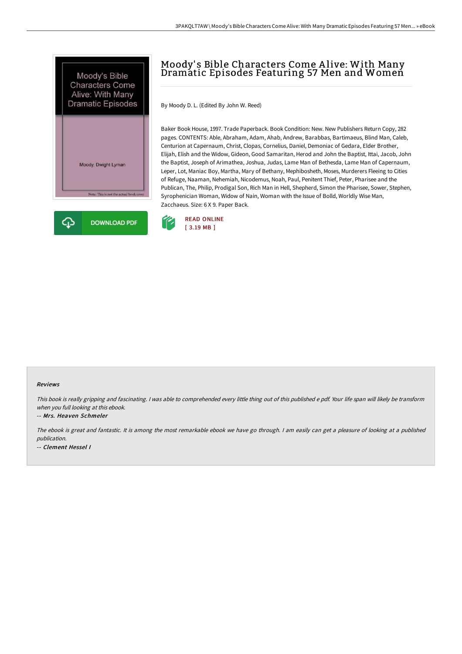



## Moody' s Bible Characters Come A live: With Many Dramatic Episodes Featuring 57 Men and Women

By Moody D. L. (Edited By John W. Reed)

Baker Book House, 1997. Trade Paperback. Book Condition: New. New Publishers Return Copy, 282 pages. CONTENTS: Able, Abraham, Adam, Ahab, Andrew, Barabbas, Bartimaeus, Blind Man, Caleb, Centurion at Capernaum, Christ, Clopas, Cornelius, Daniel, Demoniac of Gedara, Elder Brother, Elijah, Elish and the Widow, Gideon, Good Samaritan, Herod and John the Baptist, Ittai, Jacob, John the Baptist, Joseph of Arimathea, Joshua, Judas, Lame Man of Bethesda, Lame Man of Capernaum, Leper, Lot, Maniac Boy, Martha, Mary of Bethany, Mephibosheth, Moses, Murderers Fleeing to Cities of Refuge, Naaman, Nehemiah, Nicodemus, Noah, Paul, Penitent Thief, Peter, Pharisee and the Publican, The, Philip, Prodigal Son, Rich Man in Hell, Shepherd, Simon the Pharisee, Sower, Stephen, Syrophenician Woman, Widow of Nain, Woman with the Issue of Bolld, Worldly Wise Man, Zacchaeus. Size: 6 X 9. Paper Back.



## Reviews

This book is really gripping and fascinating. I was able to comprehended every little thing out of this published e pdf. Your life span will likely be transform when you full looking at this ebook.

## -- Mrs. Heaven Schmeler

The ebook is great and fantastic. It is among the most remarkable ebook we have go through. <sup>I</sup> am easily can get <sup>a</sup> pleasure of looking at <sup>a</sup> published publication. -- Clement Hessel I